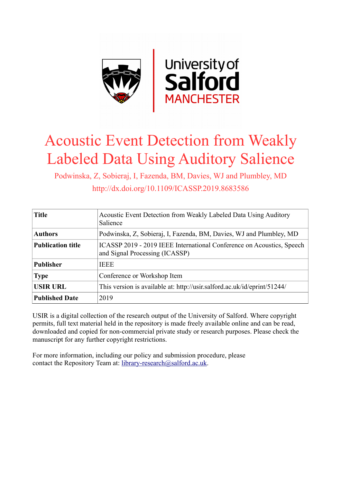

# Acoustic Event Detection from Weakly Labeled Data Using Auditory Salience

Podwinska, Z, Sobieraj, I, Fazenda, BM, Davies, WJ and Plumbley, MD http://dx.doi.org/10.1109/ICASSP.2019.8683586

| <b>Title</b>             | Acoustic Event Detection from Weakly Labeled Data Using Auditory<br>Salience                            |
|--------------------------|---------------------------------------------------------------------------------------------------------|
| <b>Authors</b>           | Podwinska, Z, Sobieraj, I, Fazenda, BM, Davies, WJ and Plumbley, MD                                     |
| <b>Publication title</b> | ICASSP 2019 - 2019 IEEE International Conference on Acoustics, Speech<br>and Signal Processing (ICASSP) |
| <b>Publisher</b>         | <b>IEEE</b>                                                                                             |
| <b>Type</b>              | Conference or Workshop Item                                                                             |
| <b>USIR URL</b>          | This version is available at: http://usir.salford.ac.uk/id/eprint/51244/                                |
| <b>Published Date</b>    | 2019                                                                                                    |

USIR is a digital collection of the research output of the University of Salford. Where copyright permits, full text material held in the repository is made freely available online and can be read, downloaded and copied for non-commercial private study or research purposes. Please check the manuscript for any further copyright restrictions.

For more information, including our policy and submission procedure, please contact the Repository Team at: [library-research@salford.ac.uk.](mailto:library-research@salford.ac.uk)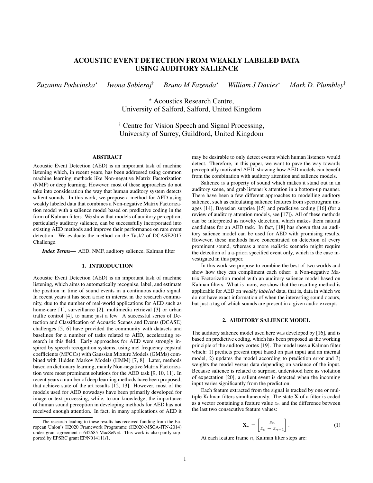## ACOUSTIC EVENT DETECTION FROM WEAKLY LABELED DATA USING AUDITORY SALIENCE

*Zuzanna Podwinska*? *Iwona Sobieraj*† *Bruno M Fazenda*? *William J Davies*? *Mark D. Plumbley*†

> ? Acoustics Research Centre, University of Salford, Salford, United Kingdom

† Centre for Vision Speech and Signal Processing, University of Surrey, Guildford, United Kingdom

## ABSTRACT

Acoustic Event Detection (AED) is an important task of machine listening which, in recent years, has been addressed using common machine learning methods like Non-negative Matrix Factorization (NMF) or deep learning. However, most of these approaches do not take into consideration the way that human auditory system detects salient sounds. In this work, we propose a method for AED using weakly labeled data that combines a Non-negative Matrix Factorization model with a salience model based on predictive coding in the form of Kalman filters. We show that models of auditory perception, particularly auditory salience, can be successfully incorporated into existing AED methods and improve their performance on rare event detection. We evaluate the method on the Task2 of DCASE2017 Challenge.

*Index Terms*— AED, NMF, auditory salience, Kalman filter

## 1. INTRODUCTION

Acoustic Event Detection (AED) is an important task of machine listening, which aims to automatically recognise, label, and estimate the position in time of sound events in a continuous audio signal. In recent years it has seen a rise in interest in the research community, due to the number of real-world applications for AED such as home-care [1], surveillance [2], multimedia retrieval [3] or urban traffic control [4], to name just a few. A successful series of Detection and Classification of Acoustic Scenes and Events (DCASE) challenges [5, 6] have provided the community with datasets and baselines for a number of tasks related to AED, accelerating research in this field. Early approaches for AED were strongly inspired by speech recognition systems, using mel frequency cepstral coefficients (MFCCs) with Gaussian Mixture Models (GMMs) combined with Hidden Markov Models (HMM) [7, 8]. Later, methods based on dictionary learning, mainly Non-negative Matrix Factorization were most prominent solutions for the AED task [9, 10, 11]. In recent years a number of deep learning methods have been proposed, that achieve state of the art results [12, 13]. However, most of the models used for AED nowadays have been primarily developed for image or text processing, while, to our knowledge, the importance of human sound perception in developing methods for AED has not received enough attention. In fact, in many applications of AED it may be desirable to only detect events which human listeners would detect. Therefore, in this paper, we want to pave the way towards perceptually motivated AED, showing how AED models can benefit from the combination with auditory attention and salience models.

Salience is a property of sound which makes it stand out in an auditory scene, and grab listener's attention in a bottom-up manner. There have been a few different approaches to modelling auditory salience, such as calculating salience features from spectrogram images [14], Bayesian surprise [15] and predictive coding [16] (for a review of auditory attention models, see [17]). All of these methods can be interpreted as novelty detection, which makes them natural candidates for an AED task. In fact, [18] has shown that an auditory salience model can be used for AED with promising results. However, these methods have concentrated on detection of every prominent sound, whereas a more realistic scenario might require the detection of a a-priori specified event only, which is the case investigated in this paper.

In this work we propose to combine the best of two worlds and show how they can compliment each other: a Non-negative Matrix Factorization model with an auditory salience model based on Kalman filters. What is more, we show that the resulting method is applicable for AED on *weakly labeled* data, that is, data in which we do not have exact information of when the interesting sound occurs, but just a tag of which sounds are present in a given audio excerpt.

## 2. AUDITORY SALIENCE MODEL

The auditory salience model used here was developed by [16], and is based on predictive coding, which has been proposed as the working principle of the auditory cortex [19]. The model uses a Kalman filter which: 1) predicts present input based on past input and an internal model, 2) updates the model according to prediction error and 3) weights the model versus data depending on variance of the input. Because salience is related to surprise, understood here as violation of expectation [20], a salient event is detected when the incoming input varies significantly from the prediction.

Each feature extracted from the signal is tracked by one or multiple Kalman filters simultaneously. The state X of a filter is coded as a vector containing a feature value  $z_n$  and the difference between the last two consecutive feature values:

$$
\mathbf{X}_n = \begin{bmatrix} z_n \\ z_n - z_{n-1} \end{bmatrix} . \tag{1}
$$

At each feature frame  $n$ , Kalman filter steps are:

The research leading to these results has received funding from the European Union's H2020 Framework Programme (H2020-MSCA-ITN-2014) under grant agreement n 642685 MacSeNet. This work is also partly supported by EPSRC grant EP/N014111/1.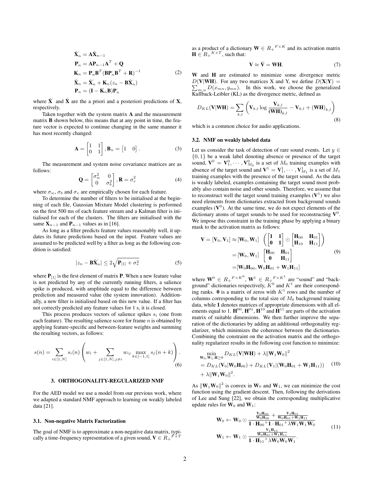$$
\hat{\mathbf{X}}_n = \mathbf{A}\hat{\mathbf{X}}_{n-1} \n\mathbf{P}_n = \mathbf{A}\mathbf{P}_{n-1}\mathbf{A}^T + \mathbf{Q} \n\mathbf{K}_n = \mathbf{P}_n \mathbf{B}^T (\mathbf{B}\mathbf{P}_n \mathbf{B}^T + \mathbf{R})^{-1} \n\hat{\mathbf{X}}_n = \hat{\mathbf{X}}_n + \mathbf{K}_n (z_n - \mathbf{B}\hat{\mathbf{X}}_n) \n\mathbf{P}_n = (\mathbf{I} - \mathbf{K}_n \mathbf{B})\mathbf{P}_n
$$
\n(2)

where  $\hat{\mathbf{X}}$  and  $\hat{\mathbf{X}}$  are the a priori and a posteriori predictions of **X**, respectively.

Taken together with the system matrix A and the measurement matrix B shown below, this means that at any point in time, the feature vector is expected to continue changing in the same manner it has most recently changed:

$$
\mathbf{A} = \begin{bmatrix} 1 & 1 \\ 0 & 1 \end{bmatrix}, \mathbf{B}_n = \begin{bmatrix} 1 & 0 \end{bmatrix}. \tag{3}
$$

The measurement and system noise covariance matrices are as follows:

$$
\mathbf{Q} = \begin{bmatrix} \sigma_w^2 & 0\\ 0 & \sigma_b^2 \end{bmatrix}, \mathbf{R} = \sigma_v^2 \tag{4}
$$

where  $\sigma_w$ ,  $\sigma_b$  and  $\sigma_v$  are empirically chosen for each feature.

To determine the number of filters to be initialised at the beginning of each file, Gaussian Mixture Model clustering is performed on the first 500 ms of each feature stream and a Kalman filter is initialised for each of the clusters. The filters are initialised with the same  $X_{n-1}$  and  $P_{n-1}$  values as in [16].

As long as a filter predicts feature values reasonably well, it updates its future predictions based on the input. Feature values are assumed to be predicted well by a filter as long as the following condition is satisfied:

$$
|z_n - \mathbf{B}\hat{\mathbf{X}}_n| \le 2\sqrt{\mathbf{P}_{[1]} + \sigma_v^2}
$$
 (5)

where  $P_{11}$  is the first element of matrix P. When a new feature value is not predicted by any of the currently running filters, a salience spike is produced, with amplitude equal to the difference between prediction and measured value (the system innovation). Additionally, a new filter is initialised based on this new value. If a filter has not correctly predicted any feature values for 1 s, it is closed.

This process produces vectors of salience spikes  $s_i$  (one from each feature). The resulting salience score for frame  $n$  is obtained by applying feature-specific and between-feature weights and summing the resulting vectors, as follows:

$$
s(n) = \sum_{i \in [1,N]} s_i(n) \left( w_i + \sum_{j \in [1,N], j \neq i} w_{ij} \max_{k \in [-1,1]} s_j(n+k) \right).
$$
(6)

## 3. ORTHOGONALITY-REGULARIZED NMF

For the AED model we use a model from our previous work, where we adapted a standard NMF approach to learning on weakly labeled data [21].

#### 3.1. Non-negative Matrix Factorization

The goal of NMF is to approximate a non-negative data matrix, typi-<br>cally a time frequency representation of a given sound  $V \subset P$ ,  $F \times T$ cally a time-frequency representation of a given sound,  $V \in R_+$ 

as a product of a dictionary  $\mathbf{W} \in R_+^{\ F \times K}$  and its activation matrix  $\mathbf{H} \in R_+^{K \times T}$ , such that:

$$
\mathbf{V} \approx \hat{\mathbf{V}} = \mathbf{W} \mathbf{H}.
$$
 (7)

W and H are estimated to minimize some divergence metric  $D(V|WH)$ . For any two matrices X and Y, we define  $D(X|Y) =$  $\sum_{m,n} D(x_{mn}, y_{mn})$ . In this work, we choose the generalized Kullback-Leibler (KL) as the divergence metric, defined as

$$
D_{KL}(\mathbf{V}|\mathbf{W}\mathbf{H}) = \sum_{k,l} \left(\mathbf{V}_{k,l} \log \frac{\mathbf{V}_{k,l}}{(\mathbf{W}\mathbf{H})_{k,l}} - \mathbf{V}_{k,l} + (\mathbf{W}\mathbf{H})_{k,l}\right)
$$
\n(8)

which is a common choice for audio applications.

## 3.2. NMF on weakly labeled data

Let us consider the task of detection of rare sound events. Let  $y \in$  $\{0, 1\}$  be a weak label denoting absence or presence of the target sound,  $\mathbf{V}^0 = \mathbf{V}^0_1, \cdots, \mathbf{V}^0_{M_0}$  is a set of  $M_0$  training examples with absence of the target sound and  $V^1 = V_1^1, \cdots, V_{M_1}^1$  is a set of  $M_1$ training examples with the presence of the target sound. As the data is weakly labeled, examples containing the target sound most probably also contain noise and other sounds. Therefore, we assume that to reconstruct well the target sound training examples  $(V<sup>1</sup>)$  we also need elements from dictionaries extracted from background sounds examples  $(V^0)$ . At the same time, we do not expect elements of the dictionary atoms of target sounds to be used for reconstructing  $V^0$ . We impose this constraint in the training phase by applying a binary mask to the activation matrix as follows:

$$
\mathbf{V} = [\mathbf{V}_0, \mathbf{V}_1] \approx [\mathbf{W}_0, \mathbf{W}_1] \begin{pmatrix} \begin{bmatrix} 1 & 1 \ 0 & 1 \end{bmatrix} \odot \begin{bmatrix} \mathbf{H}_{00} & \mathbf{H}_{01} \\ \mathbf{H}_{10} & \mathbf{H}_{11} \end{bmatrix} \end{pmatrix}
$$

$$
= [\mathbf{W}_0, \mathbf{W}_1] \begin{bmatrix} \mathbf{H}_{00} & \mathbf{H}_{01} \\ \mathbf{0} & \mathbf{H}_{11} \end{bmatrix}
$$

$$
= [\mathbf{W}_0 \mathbf{H}_{00}, \mathbf{W}_0 \mathbf{H}_{01} + \mathbf{W}_1 \mathbf{H}_{11}]
$$
(9)

where  $\mathbf{W}^0 \in R_+^{\,F \times K^0}, \mathbf{W}^1 \in R_+^{\,F \times K^1}$  are "sound" and "background" dictionaries respectively,  $K^0$  and  $K^1$  are their corresponding ranks.  $\mathbf{0}$  is a matrix of zeros with  $K^1$  rows and the number of columns corresponding to the total size of  $M_0$  background training data, while 1 denotes matrices of appropriate dimensions with all elements equal to 1.  $\mathbf{H}^{00}$ ,  $\mathbf{H}^{01}$ ,  $\mathbf{H}^{10}$  and  $\mathbf{H}^{11}$  are parts of the activation matrix of suitable dimensions. We then further improve the separation of the dictionaries by adding an additional orthogonality regularizer, which minimizes the coherence between the dictionaries. Combining the constraint on the activation matrix and the orthogonality regularizer results in the following cost function to minimize:

$$
\begin{aligned}\n&\min_{\mathbf{W}_0, \mathbf{W}_1, \mathbf{H} \ge 0} D_{KL}(\mathbf{V}|\mathbf{W}\mathbf{H}) + \lambda \|\mathbf{W}_1 \mathbf{W}_0\|^2 \\
&= D_{KL}(\mathbf{V}_0|\mathbf{W}_0 \mathbf{H}_{00}) + D_{KL}(\mathbf{V}_1|(\mathbf{W}_0 \mathbf{H}_{01} + \mathbf{W}_1 \mathbf{H}_{11})) \quad (10) \\
&+ \lambda \|\mathbf{W}_1 \mathbf{W}_0\|^2.\n\end{aligned}
$$

As  $\|\mathbf{W}_1\mathbf{W}_0\|^2$  is convex in  $\mathbf{W}_0$  and  $\mathbf{W}_1$ , we can minimize the cost function using the gradient descent. Then, following the derivations of Lee and Sung [22], we obtain the corresponding multiplicative update rules for  $W_0$  and  $W_1$ :

$$
W_0 \leftarrow W_0 \odot \frac{\frac{V_0 H_{00}}{W_0 H_{00}} + \frac{V_1 H_{01}}{W_0 H_{01} + W_1 H_{11}}}{1 \cdot H_{00} + 1 \cdot H_{01} + \lambda W_1 W_1 W_0}
$$
\n
$$
W_1 \leftarrow W_1 \odot \frac{\frac{V_1 H_{11}}{W_0 H_{01} + W_1 H_{11}}}{1 \cdot H_{11} + \lambda W_0 W_0 W_1}.
$$
\n(11)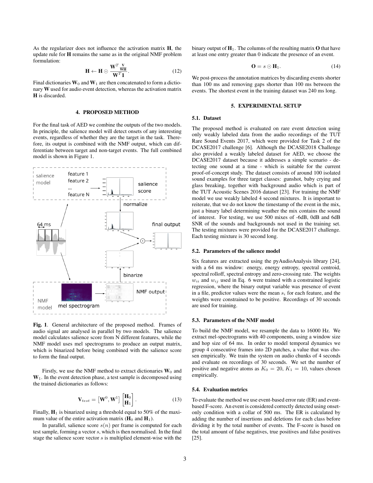As the regularizer does not influence the activation matrix H, the update rule for H remains the same as in the original NMF problem formulation:

$$
\mathbf{H} \leftarrow \mathbf{H} \odot \frac{\mathbf{W}^T \frac{\mathbf{V}}{\mathbf{W}\mathbf{H}}}{\mathbf{W}^T \mathbf{1}}.
$$
 (12)

Final dictionaries  $W_0$  and  $W_1$  are then concatenated to form a dictionary W used for audio event detection, whereas the activation matrix H is discarded.

## 4. PROPOSED METHOD

For the final task of AED we combine the outputs of the two models. In principle, the salience model will detect onsets of any interesting events, regardless of whether they are the target in the task. Therefore, its output is combined with the NMF output, which can differentiate between target and non-target events. The full combined model is shown in Figure 1.



Fig. 1. General architecture of the proposed method. Frames of audio signal are analysed in parallel by two models. The salience model calculates salience score from N different features, while the NMF model uses mel spectrograms to produce an output matrix, which is binarized before being combined with the salience score to form the final output.

Firstly, we use the NMF method to extract dictionaries  $W_0$  and  $W<sub>1</sub>$ . In the event detection phase, a test sample is decomposed using the trained dictionaries as follows:

$$
\mathbf{V}_{test} = \left[\mathbf{W}^0, \mathbf{W}^1\right] \begin{bmatrix} \mathbf{H}_0 \\ \mathbf{H}_1 \end{bmatrix} . \tag{13}
$$

Finally,  $H_1$  is binarized using a threshold equal to 50% of the maximum value of the entire activation matrix  $(\mathbf{H}_0 \text{ and } \mathbf{H}_1)$ .

In parallel, salience score  $s(n)$  per frame is computed for each test sample, forming a vector s, which is then normalised. In the final stage the salience score vector  $s$  is multiplied element-wise with the

binary output of  $H_1$ . The columns of the resulting matrix **O** that have at least one entry greater than 0 indicate the presence of an event.

$$
\mathbf{O} = s \odot \mathbf{H}_1. \tag{14}
$$

We post-process the annotation matrices by discarding events shorter than 100 ms and removing gaps shorter than 100 ms between the events. The shortest event in the training dataset was 240 ms long.

#### 5. EXPERIMENTAL SETUP

## 5.1. Dataset

The proposed method is evaluated on rare event detection using only weakly labeled data from the audio recordings of the TUT Rare Sound Events 2017, which were provided for Task 2 of the DCASE2017 challenge [6]. Although the DCASE2018 Challenge also provided a weakly labeled dataset for AED, we choose the DCASE2017 dataset because it addresses a simple scenario - detecting one sound at a time - which is suitable for the current proof-of-concept study. The dataset consists of around 100 isolated sound examples for three target classes: gunshot, baby crying and glass breaking, together with background audio which is part of the TUT Acoustic Scenes 2016 dataset [23]. For training the NMF model we use weakly labeled 4 second mixtures. It is important to reiterate, that we do not know the timestamp of the event in the mix, just a binary label determining weather the mix contains the sound of interest. For testing, we use 500 mixes of -6dB, 0dB and 6dB SNR of the sounds and backgrounds not used in the training set. The testing mixtures were provided for the DCASE2017 challenge. Each testing mixture is 30 second long.

### 5.2. Parameters of the salience model

Six features are extracted using the pyAudioAnalysis library [24], with a 64 ms window: energy, energy entropy, spectral centroid, spectral rolloff, spectral entropy and zero-crossing rate. The weights  $w_{ii}$  and  $w_{ij}$  used in Eq. 6 were trained with a constrained logistic regression, where the binary output variable was presence of event in a file, predictor values were the mean  $s_i$  for each feature, and the weights were constrained to be positive. Recordings of 30 seconds are used for training.

#### 5.3. Parameters of the NMF model

To build the NMF model, we resample the data to 16000 Hz. We extract mel-spectrograms with 40 components, using a window size and hop size of 64 ms. In order to model temporal dynamics we group 4 consecutive frames into 2D patches, a value that was chosen empirically. We train the system on audio chunks of 4 seconds and evaluate on recordings of 30 seconds. We set the number of positive and negative atoms as  $K_0 = 20, K_1 = 10$ , values chosen empirically.

## 5.4. Evaluation metrics

To evaluate the method we use event-based error rate (ER) and eventbased F-score. An event is considered correctly detected using onsetonly condition with a collar of 500 ms. The ER is calculated by adding the number of insertions and deletions for each class before dividing it by the total number of events. The F-score is based on the total amount of false negatives, true positives and false positives [25].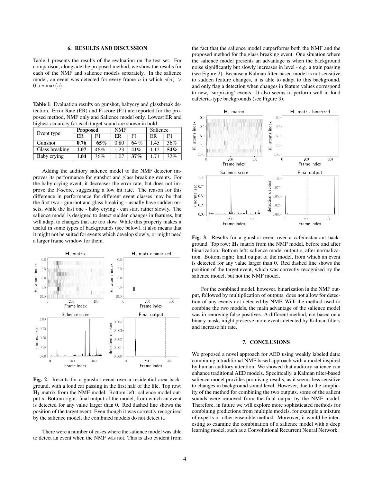#### 6. RESULTS AND DISCUSSION

Table 1 presents the results of the evaluation on the test set. For comparison, alongside the proposed method, we show the results for each of the NMF and salience models separately. In the salience model, an event was detected for every frame n in which  $s(n)$  $0.5 * max(s)$ .

Table 1. Evaluation results on gunshot, babycry and glassbreak detection. Error Rate (ER) and F-score (F1) are reported for the proposed method, NMF only and Salience model only. Lowest ER and highest accuracy for each target sound are shown in bold.

| Event type     | <b>Proposed</b> |     | <b>NMF</b> |      | Salience |                |
|----------------|-----------------|-----|------------|------|----------|----------------|
|                | ER              | F1  | ER         | F1   | ER       | F <sub>1</sub> |
| Gunshot        | 0.76            | 65% | 0.80       | 64 % | 1.45     | 36%            |
| Glass breaking | 1.07            | 46% | 1.23       | 41%  | .12      | 54%            |
| Baby crying    | 1.04            | 36% | 1.07       | 37%  | 1.71     | 32%            |

Adding the auditory salience model to the NMF detector improves its performance for gunshot and glass breaking events. For the baby crying event, it decreases the error rate, but does not improve the F-score, suggesting a low hit rate. The reason for this difference in performance for different event classes may be that the first two - gunshot and glass breaking - usually have sudden onsets, while the last one - baby crying - can start rather slowly. The salience model is designed to detect sudden changes in features, but will adapt to changes that are too slow. While this property makes it useful in some types of backgrounds (see below), it also means that it might not be suited for events which develop slowly, or might need a larger frame window for them.



Fig. 2. Results for a gunshot event over a residential area background, with a loud car passing in the first half of the file. Top row: H<sup>1</sup> matrix from the NMF model. Bottom left: salience model output s. Bottom right: final output of the model, from which an event is detected for any value larger than 0. Red dashed line shows the position of the target event. Even though it was correctly recognised by the salience model, the combined models do not detect it.

There were a number of cases where the salience model was able to detect an event when the NMF was not. This is also evident from the fact that the salience model outperforms both the NMF and the proposed method for the glass breaking event. One situation where the salience model presents an advantage is when the background noise significantly but slowly increases in level - e.g. a train passing (see Figure 2). Because a Kalman filter-based model is not sensitive to sudden feature changes, it is able to adapt to this background, and only flag a detection when changes in feature values correspond to new, 'surprising' events. It also seems to perform well in loud cafeteria-type backgrounds (see Figure 3).



Fig. 3. Results for a gunshot event over a cafe/restaurant background. Top row:  $\mathbf{H}_1$  matrix from the NMF model, before and after binarization. Bottom left: salience model output s, after normalization. Bottom right: final output of the model, from which an event is detected for any value larger than 0. Red dashed line shows the position of the target event, which was correctly recognised by the salience model, but not the NMF model.

For the combined model, however, binarization in the NMF output, followed by multiplication of outputs, does not allow for detection of any events not detected by NMF. With the method used to combine the two models, the main advantage of the salience model was in removing false positives. A different method, not based on a binary mask, might preserve more events detected by Kalman filters and increase hit rate.

## 7. CONCLUSIONS

We proposed a novel approach for AED using weakly labeled data: combining a traditional NMF based approach with a model inspired by human auditory attention. We showed that auditory salience can enhance traditional AED models. Specifically, a Kalman filter-based salience model provides promising results, as it seems less sensitive to changes in background sound level. However, due to the simplicity of the method for combining the two outputs, some of the salient sounds were removed from the final output by the NMF model. Therefore, in future we will explore more sophisticated methods for combining predictions from multiple models, for example a mixture of experts or other ensemble method. Moreover, it would be interesting to examine the combination of a salience model with a deep learning model, such as a Convolutional Recurrent Neural Network.